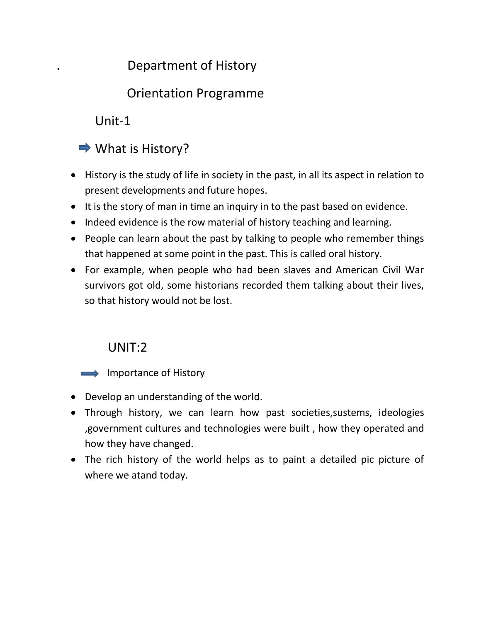# . Department of History

# Orientation Programme

Unit-1



- History is the study of life in society in the past, in all its aspect in relation to present developments and future hopes.
- It is the story of man in time an inquiry in to the past based on evidence.
- Indeed evidence is the row material of history teaching and learning.
- People can learn about the past by talking to people who remember things that happened at some point in the past. This is called oral history.
- For example, when people who had been slaves and American Civil War survivors got old, some historians recorded them talking about their lives, so that history would not be lost.

## UNIT:2

 $\implies$  Importance of History

- Develop an understanding of the world.
- Through history, we can learn how past societies,sustems, ideologies ,government cultures and technologies were built , how they operated and how they have changed.
- The rich history of the world helps as to paint a detailed pic picture of where we atand today.